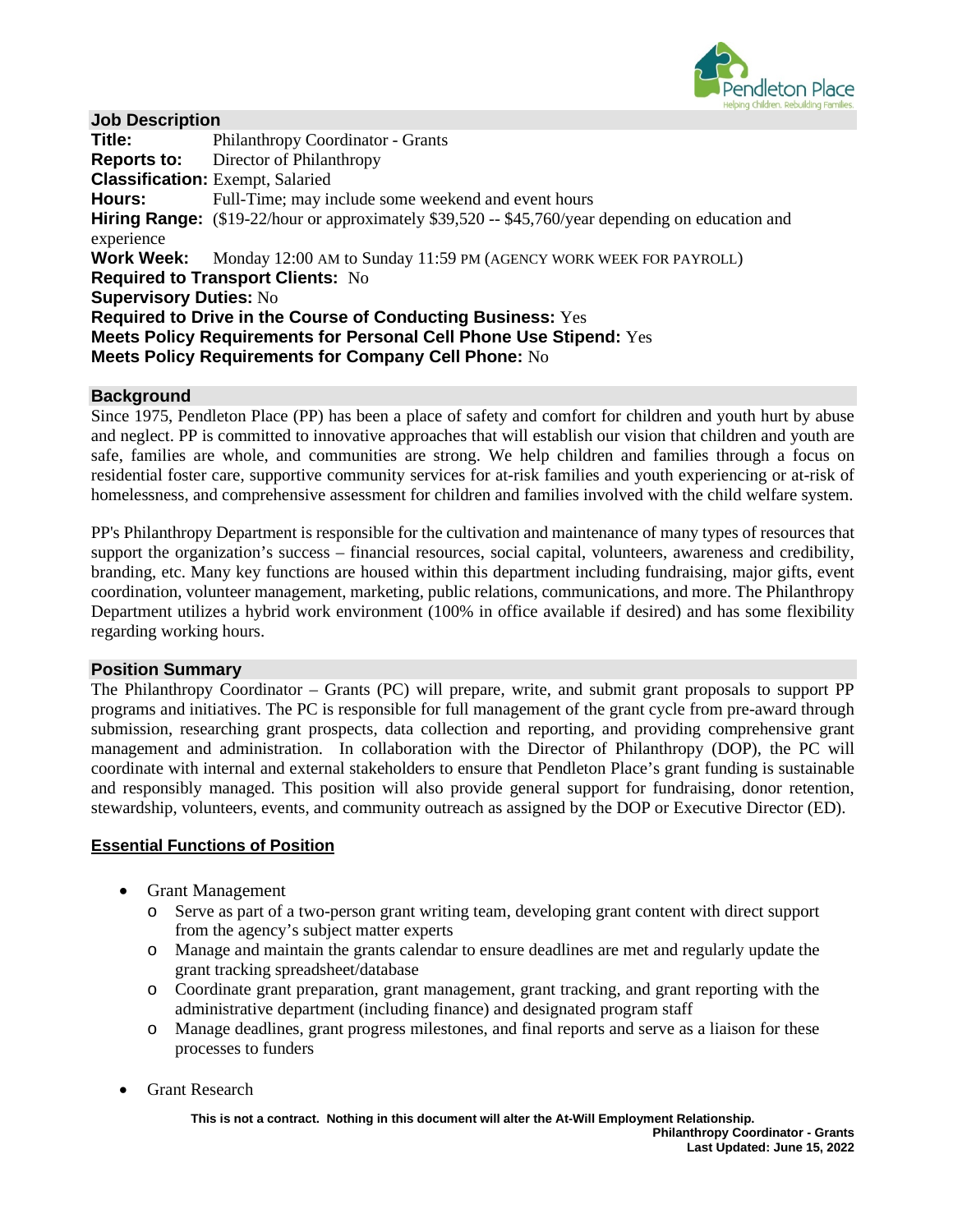

## **Job Description**

**Title:** Philanthropy Coordinator - Grants **Reports to:** Director of Philanthropy **Classification:** Exempt, Salaried **Hours:** Full-Time; may include some weekend and event hours **Hiring Range:** (\$19-22/hour or approximately \$39,520 -- \$45,760/year depending on education and experience **Work Week:** Monday 12:00 AM to Sunday 11:59 PM (AGENCY WORK WEEK FOR PAYROLL) **Required to Transport Clients:** No **Supervisory Duties:** No **Required to Drive in the Course of Conducting Business:** Yes **Meets Policy Requirements for Personal Cell Phone Use Stipend:** Yes **Meets Policy Requirements for Company Cell Phone:** No

#### **Background**

Since 1975, Pendleton Place (PP) has been a place of safety and comfort for children and youth hurt by abuse and neglect. PP is committed to innovative approaches that will establish our vision that children and youth are safe, families are whole, and communities are strong. We help children and families through a focus on residential foster care, supportive community services for at-risk families and youth experiencing or at-risk of homelessness, and comprehensive assessment for children and families involved with the child welfare system.

PP's Philanthropy Department is responsible for the cultivation and maintenance of many types of resources that support the organization's success – financial resources, social capital, volunteers, awareness and credibility, branding, etc. Many key functions are housed within this department including fundraising, major gifts, event coordination, volunteer management, marketing, public relations, communications, and more. The Philanthropy Department utilizes a hybrid work environment (100% in office available if desired) and has some flexibility regarding working hours.

#### **Position Summary**

The Philanthropy Coordinator – Grants (PC) will prepare, write, and submit grant proposals to support PP programs and initiatives. The PC is responsible for full management of the grant cycle from pre-award through submission, researching grant prospects, data collection and reporting, and providing comprehensive grant management and administration. In collaboration with the Director of Philanthropy (DOP), the PC will coordinate with internal and external stakeholders to ensure that Pendleton Place's grant funding is sustainable and responsibly managed. This position will also provide general support for fundraising, donor retention, stewardship, volunteers, events, and community outreach as assigned by the DOP or Executive Director (ED).

## **Essential Functions of Position**

- Grant Management
	- o Serve as part of a two-person grant writing team, developing grant content with direct support from the agency's subject matter experts
	- o Manage and maintain the grants calendar to ensure deadlines are met and regularly update the grant tracking spreadsheet/database
	- o Coordinate grant preparation, grant management, grant tracking, and grant reporting with the administrative department (including finance) and designated program staff
	- o Manage deadlines, grant progress milestones, and final reports and serve as a liaison for these processes to funders
- Grant Research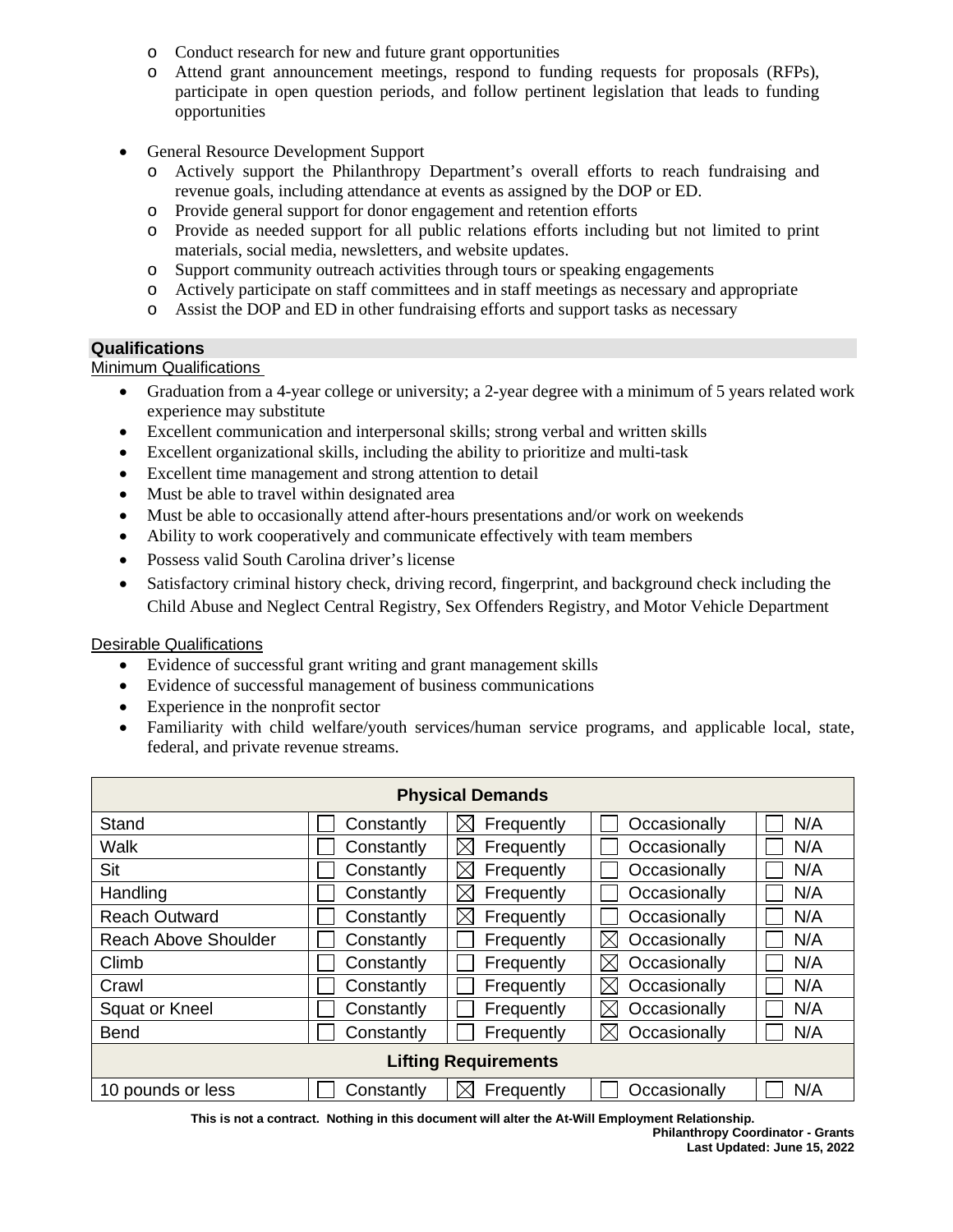- o Conduct research for new and future grant opportunities
- o Attend grant announcement meetings, respond to funding requests for proposals (RFPs), participate in open question periods, and follow pertinent legislation that leads to funding opportunities
- General Resource Development Support
	- o Actively support the Philanthropy Department's overall efforts to reach fundraising and revenue goals, including attendance at events as assigned by the DOP or ED.
	- o Provide general support for donor engagement and retention efforts
	- o Provide as needed support for all public relations efforts including but not limited to print materials, social media, newsletters, and website updates.
	- o Support community outreach activities through tours or speaking engagements
	- o Actively participate on staff committees and in staff meetings as necessary and appropriate
	- o Assist the DOP and ED in other fundraising efforts and support tasks as necessary

# **Qualifications**

**Minimum Qualifications** 

- Graduation from a 4-year college or university; a 2-year degree with a minimum of 5 years related work experience may substitute
- Excellent communication and interpersonal skills; strong verbal and written skills
- Excellent organizational skills, including the ability to prioritize and multi-task
- Excellent time management and strong attention to detail
- Must be able to travel within designated area
- Must be able to occasionally attend after-hours presentations and/or work on weekends
- Ability to work cooperatively and communicate effectively with team members
- Possess valid South Carolina driver's license
- Satisfactory criminal history check, driving record, fingerprint, and background check including the Child Abuse and Neglect Central Registry, Sex Offenders Registry, and Motor Vehicle Department

## Desirable Qualifications

- Evidence of successful grant writing and grant management skills
- Evidence of successful management of business communications
- Experience in the nonprofit sector
- Familiarity with child welfare/youth services/human service programs, and applicable local, state, federal, and private revenue streams.

| <b>Physical Demands</b>     |            |                           |                             |     |  |  |  |
|-----------------------------|------------|---------------------------|-----------------------------|-----|--|--|--|
| Stand                       | Constantly | Frequently<br>IX          | Occasionally                | N/A |  |  |  |
| Walk                        | Constantly | Frequently<br>IX          | Occasionally                | N/A |  |  |  |
| Sit                         | Constantly | $\boxtimes$<br>Frequently | Occasionally                | N/A |  |  |  |
| Handling                    | Constantly | ⋉<br>Frequently           | Occasionally                | N/A |  |  |  |
| <b>Reach Outward</b>        | Constantly | IX<br>Frequently          | Occasionally                | N/A |  |  |  |
| <b>Reach Above Shoulder</b> | Constantly | Frequently                | $\boxtimes$<br>Occasionally | N/A |  |  |  |
| Climb                       | Constantly | Frequently                | IX<br>Occasionally          | N/A |  |  |  |
| Crawl                       | Constantly | Frequently                | $\boxtimes$<br>Occasionally | N/A |  |  |  |
| Squat or Kneel              | Constantly | Frequently                | $\boxtimes$<br>Occasionally | N/A |  |  |  |
| <b>Bend</b>                 | Constantly | Frequently                | $\boxtimes$<br>Occasionally | N/A |  |  |  |
| <b>Lifting Requirements</b> |            |                           |                             |     |  |  |  |
| 10 pounds or less           | Constantly | Frequently<br>IX          | Occasionally                | N/A |  |  |  |

**This is not a contract. Nothing in this document will alter the At-Will Employment Relationship.**